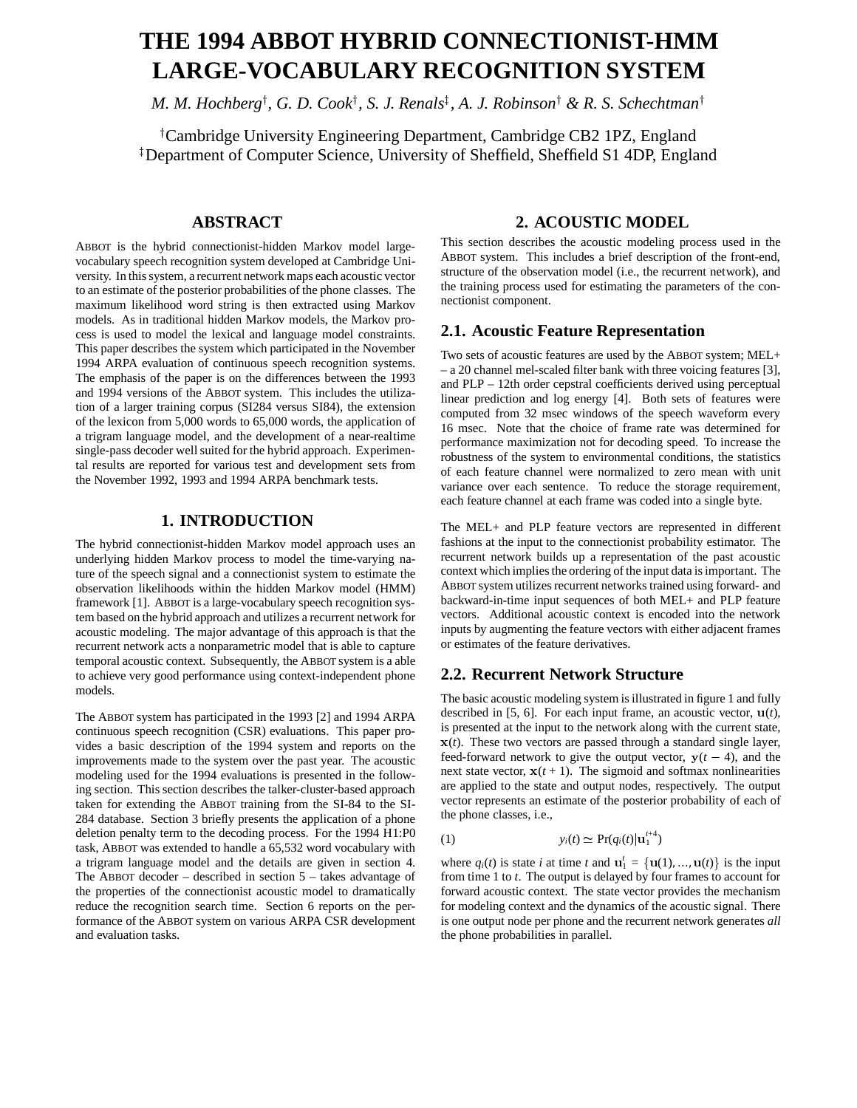# **THE 1994 ABBOT HYBRID CONNECTIONIST-HMM LARGE-VOCABULARY RECOGNITION SYSTEM**

*M. M. Hochberg*<sup>†</sup>, *G. D. Cook*<sup>†</sup>, *S. J. Renals*<sup>‡</sup>, *A. J. Robinson*<sup>†</sup> & *R. S. Schechtman*<sup>†</sup>

<sup>†</sup>Cambridge University Engineering Department, Cambridge CB2 1PZ, England <sup>‡</sup>Department of Computer Science, University of Sheffield, Sheffield S1 4DP, England

# **ABSTRACT**

ABBOT is the hybrid connectionist-hidden Markov model largevocabulary speech recognition system developed at Cambridge University. In this system, a recurrent network maps each acoustic vector to an estimate of the posterior probabilities of the phone classes. The maximum likelihood word string is then extracted using Markov models. As in traditional hidden Markov models, the Markov process is used to model the lexical and language model constraints. This paper describes the system which participated in the November 1994 ARPA evaluation of continuous speech recognition systems. The emphasis of the paper is on the differences between the 1993 and 1994 versions of the ABBOT system. This includes the utilization of a larger training corpus (SI284 versus SI84), the extension of the lexicon from 5,000 words to 65,000 words, the application of a trigram language model, and the development of a near-realtime single-pass decoder well suited for the hybrid approach. Experimental results are reported for various test and development sets from the November 1992, 1993 and 1994 ARPA benchmark tests.

## **1. INTRODUCTION**

The hybrid connectionist-hidden Markov model approach uses an underlying hidden Markov process to model the time-varying nature of the speech signal and a connectionist system to estimate the observation likelihoods within the hidden Markov model (HMM) framework [1]. ABBOT is a large-vocabulary speech recognition system based on the hybrid approach and utilizes a recurrent network for acoustic modeling. The major advantage of this approach is that the recurrent network acts a nonparametric model that is able to capture temporal acoustic context. Subsequently, the ABBOT system is a able to achieve very good performance using context-independent phone models.

The ABBOT system has participated in the 1993 [2] and 1994 ARPA continuous speech recognition (CSR) evaluations. This paper provides a basic description of the 1994 system and reports on the improvements made to the system over the past year. The acoustic modeling used for the 1994 evaluations is presented in the following section. This section describes the talker-cluster-based approach taken for extending the ABBOT training from the SI-84 to the SI-284 database. Section 3 briefly presents the application of a phone deletion penalty term to the decoding process. For the 1994 H1:P0 task, ABBOT was extended to handle a 65,532 word vocabulary with a trigram language model and the details are given in section 4. The ABBOT decoder – described in section 5 – takes advantage of the properties of the connectionist acoustic model to dramatically reduce the recognition search time. Section 6 reports on the performance of the ABBOT system on various ARPA CSR development and evaluation tasks.

# **2. ACOUSTIC MODEL**

This section describes the acoustic modeling process used in the ABBOT system. This includes a brief description of the front-end, structure of the observation model (i.e., the recurrent network), and the training process used for estimating the parameters of the connectionist component.

## **2.1. Acoustic Feature Representation**

Two sets of acoustic features are used by the ABBOT system; MEL+ – a 20 channel mel-scaled filter bank with three voicing features [3], and PLP – 12th order cepstral coefficients derived using perceptual linear prediction and log energy [4]. Both sets of features were computed from 32 msec windows of the speech waveform every 16 msec. Note that the choice of frame rate was determined for performance maximization not for decoding speed. To increase the robustness of the system to environmental conditions, the statistics of each feature channel were normalized to zero mean with unit variance over each sentence. To reduce the storage requirement, each feature channel at each frame was coded into a single byte.

The MEL+ and PLP feature vectors are represented in different fashions at the input to the connectionist probability estimator. The recurrent network builds up a representation of the past acoustic context which implies the ordering of the input data is important. The ABBOT system utilizes recurrent networks trained using forward- and backward-in-time input sequences of both MEL+ and PLP feature vectors. Additional acoustic context is encoded into the network inputs by augmenting the feature vectors with either adjacent frames or estimates of the feature derivatives.

## **2.2. Recurrent Network Structure**

The basic acoustic modeling system is illustrated in figure 1 and fully described in [5, 6]. For each input frame, an acoustic vector, <sup>u</sup>(*t*), is presented at the input to the network along with the current state,  $x(t)$ . These two vectors are passed through a standard single layer, feed-forward network to give the output vector,  $y(t - 4)$ , and the next state vector,  $x(t + 1)$ . The sigmoid and softmax nonlinearities are applied to the state and output nodes, respectively. The output vector represents an estimate of the posterior probability of each of the phone classes, i.e.,

$$
(1) \t y_i(t) \simeq \Pr(q_i(t)|\mathbf{u}_1^{t+4})
$$

where  $q_i(t)$  is state *i* at time *t* and  $\mathbf{u}_1^t = {\mathbf{u}(1), ..., u}(t)$  is the input from time 1 to *t*. The output is delayed by four frames to account for forward acoustic context. The state vector provides the mechanism for modeling context and the dynamics of the acoustic signal. There is one output node per phone and the recurrent network generates *all* the phone probabilities in parallel.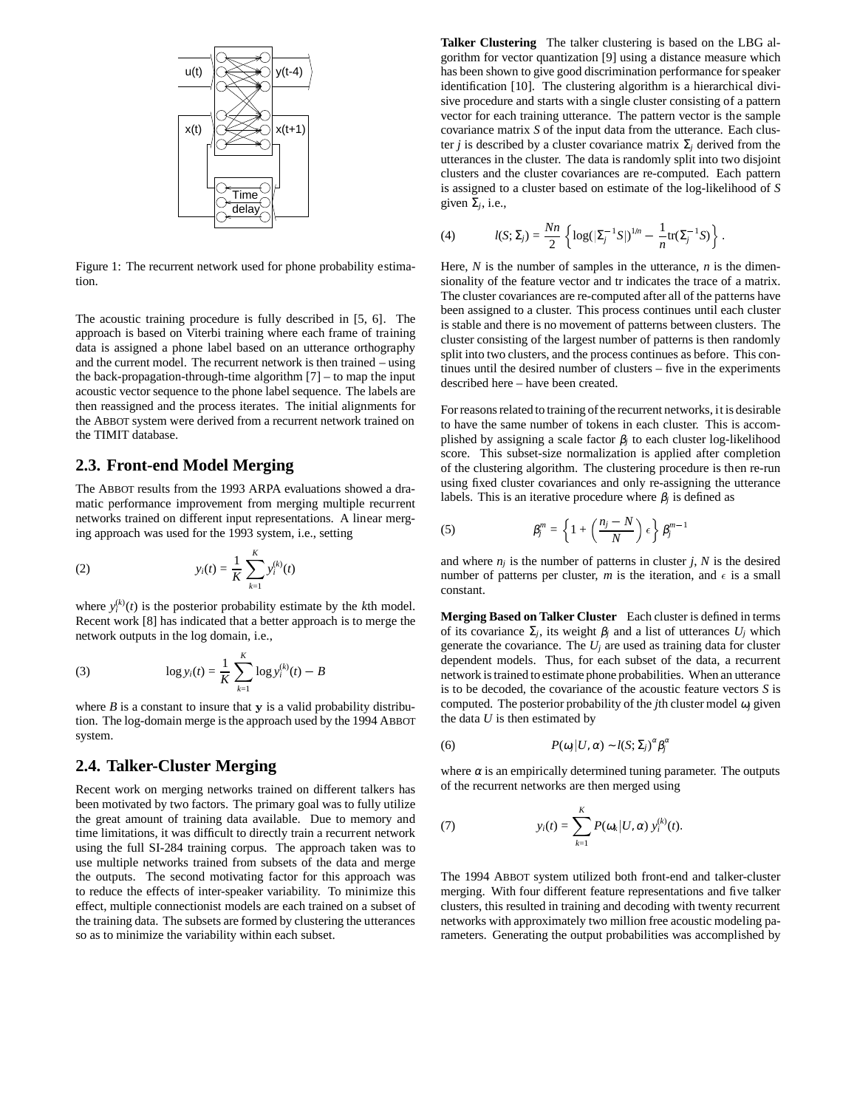

Figure 1: The recurrent network used for phone probability estimation.

The acoustic training procedure is fully described in [5, 6]. The approach is based on Viterbi training where each frame of training data is assigned a phone label based on an utterance orthography and the current model. The recurrent network is then trained – using the back-propagation-through-time algorithm  $[7]$  – to map the input acoustic vector sequence to the phone label sequence. The labels are then reassigned and the process iterates. The initial alignments for the ABBOT system were derived from a recurrent network trained on the TIMIT database.

## **2.3. Front-end Model Merging**

The ABBOT results from the 1993 ARPA evaluations showed a dramatic performance improvement from merging multiple recurrent networks trained on different input representations. A linear merging approach was used for the 1993 system, i.e., setting

(2) 
$$
y_i(t) = \frac{1}{K} \sum_{k=1}^{K} y_i^{(k)}(t)
$$

where  $y_i^{(k)}(t)$  is the posterior probability estimate by the *k*th model. Recent work [8] has indicated that a better approach is to merge the network outputs in the log domain, i.e.,

(3) 
$$
\log y_i(t) = \frac{1}{K} \sum_{k=1}^{K} \log y_i^{(k)}(t) - B
$$

where  $B$  is a constant to insure that  $y$  is a valid probability distribution. The log-domain merge is the approach used by the 1994 ABBOT system.

## **2.4. Talker-Cluster Merging**

Recent work on merging networks trained on different talkers has been motivated by two factors. The primary goal was to fully utilize the great amount of training data available. Due to memory and time limitations, it was difficult to directly train a recurrent network using the full SI-284 training corpus. The approach taken was to use multiple networks trained from subsets of the data and merge the outputs. The second motivating factor for this approach was to reduce the effects of inter-speaker variability. To minimize this effect, multiple connectionist models are each trained on a subset of the training data. The subsets are formed by clustering the utterances so as to minimize the variability within each subset.

**Talker Clustering** The talker clustering is based on the LBG algorithm for vector quantization [9] using a distance measure which has been shown to give good discrimination performance for speaker identification [10]. The clustering algorithm is a hierarchical divisive procedure and starts with a single cluster consisting of a pattern vector for each training utterance. The pattern vector is the sample covariance matrix *S* of the input data from the utterance. Each cluster *j* is described by a cluster covariance matrix  $\Sigma_j$  derived from the utterances in the cluster. The data is randomly split into two disjoint clusters and the cluster covariances are re-computed. Each pattern is assigned to a cluster based on estimate of the log-likelihood of *S* given  $\Sigma_i$ , i.e.,

(4) 
$$
l(S; \Sigma_j) = \frac{Nn}{2} \left\{ \log( |\Sigma_j^{-1} S|)^{1/n} - \frac{1}{n} \text{tr}(\Sigma_j^{-1} S) \right\}.
$$

Here, *N* is the number of samples in the utterance, *n* is the dimensionality of the feature vector and tr indicates the trace of a matrix. The cluster covariances are re-computed after all of the patterns have been assigned to a cluster. This process continues until each cluster is stable and there is no movement of patterns between clusters. The cluster consisting of the largest number of patterns is then randomly split into two clusters, and the process continues as before. This continues until the desired number of clusters – five in the experiments described here – have been created.

For reasons related to training of the recurrent networks, it is desirable to have the same number of tokens in each cluster. This is accomplished by assigning a scale factor  $\beta_i$  to each cluster log-likelihood score. This subset-size normalization is applied after completion of the clustering algorithm. The clustering procedure is then re-run using fixed cluster covariances and only re-assigning the utterance labels. This is an iterative procedure where  $\beta_j$  is defined as

(5) 
$$
\beta_j^m = \left\{ 1 + \left( \frac{n_j - N}{N} \right) \epsilon \right\} \beta_j^{m-1}
$$

and where  $n_i$  is the number of patterns in cluster *j*, *N* is the desired number of patterns per cluster, *m* is the iteration, and  $\epsilon$  is a small constant.

**Merging Based on Talker Cluster** Each cluster is defined in terms of its covariance  $\Sigma_j$ , its weight  $\beta_j$  and a list of utterances  $U_j$  which generate the covariance. The  $U_i$  are used as training data for cluster dependent models. Thus, for each subset of the data, a recurrent network is trained to estimate phone probabilities. When an utterance is to be decoded, the covariance of the acoustic feature vectors *S* is computed. The posterior probability of the *j*th cluster model <sup>ω</sup>*<sup>j</sup>* given the data *U* is then estimated by

(6) 
$$
P(\omega_j|U,\alpha) \sim l(S;\Sigma_j)^{\alpha} \beta_j^{\alpha}
$$

where  $\alpha$  is an empirically determined tuning parameter. The outputs of the recurrent networks are then merged using

(7) 
$$
y_i(t) = \sum_{k=1}^K P(\omega_k | U, \alpha) y_i^{(k)}(t).
$$

The 1994 ABBOT system utilized both front-end and talker-cluster merging. With four different feature representations and five talker clusters, this resulted in training and decoding with twenty recurrent networks with approximately two million free acoustic modeling parameters. Generating the output probabilities was accomplished by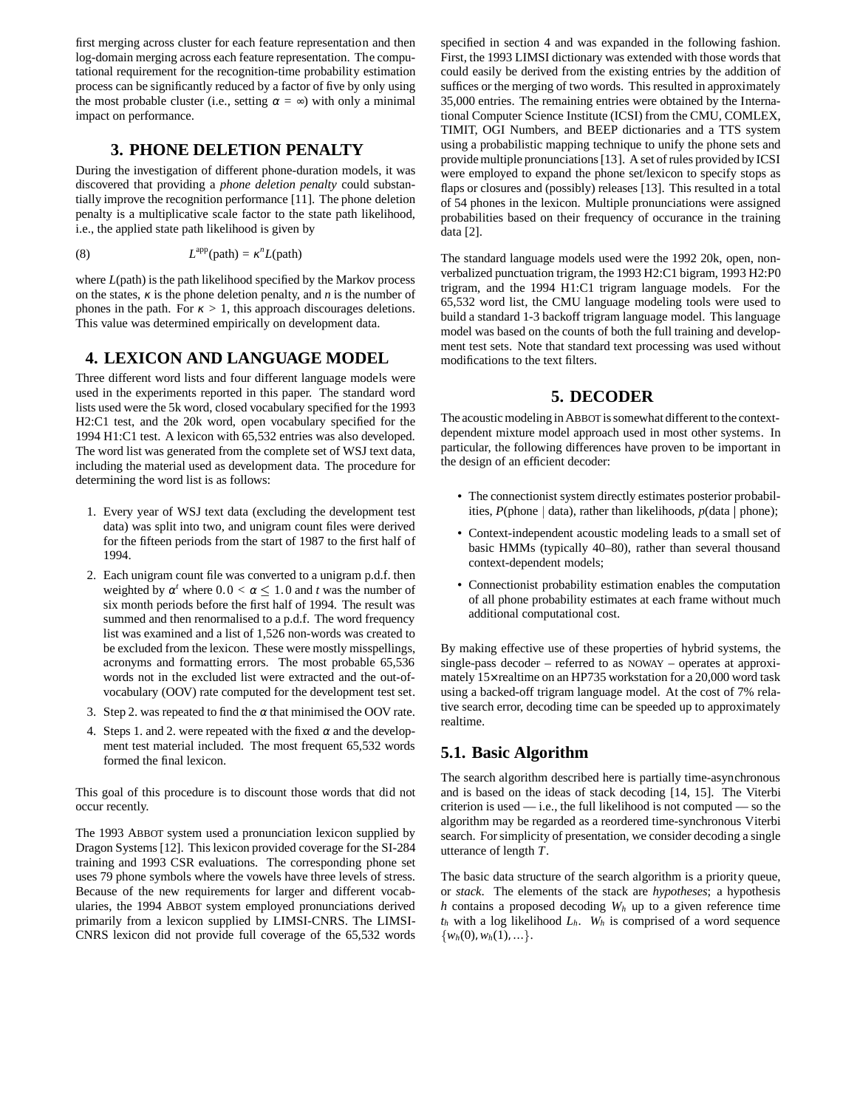first merging across cluster for each feature representation and then log-domain merging across each feature representation. The computational requirement for the recognition-time probability estimation process can be significantly reduced by a factor of five by only using the most probable cluster (i.e., setting  $\alpha = \infty$ ) with only a minimal impact on performance.

## **3. PHONE DELETION PENALTY**

During the investigation of different phone-duration models, it was discovered that providing a *phone deletion penalty* could substantially improve the recognition performance [11]. The phone deletion penalty is a multiplicative scale factor to the state path likelihood, i.e., the applied state path likelihood is given by

(8) 
$$
L^{\text{app}}(\text{path}) = \kappa^n L(\text{path})
$$

where *L*(path) is the path likelihood specified by the Markov process on the states,  $\kappa$  is the phone deletion penalty, and *n* is the number of phones in the path. For  $\kappa > 1$ , this approach discourages deletions. This value was determined empirically on development data.

## **4. LEXICON AND LANGUAGE MODEL**

Three different word lists and four different language models were used in the experiments reported in this paper. The standard word lists used were the 5k word, closed vocabulary specified for the 1993 H2:C1 test, and the 20k word, open vocabulary specified for the 1994 H1:C1 test. A lexicon with 65,532 entries was also developed. The word list was generated from the complete set of WSJ text data, including the material used as development data. The procedure for determining the word list is as follows:

- 1. Every year of WSJ text data (excluding the development test data) was split into two, and unigram count files were derived for the fifteen periods from the start of 1987 to the first half of 1994.
- 2. Each unigram count file was converted to a unigram p.d.f. then weighted by  $\alpha^t$  where  $0.0 < \alpha \leq 1.0$  and *t* was the number of six month periods before the first half of 1994. The result was summed and then renormalised to a p.d.f. The word frequency list was examined and a list of 1,526 non-words was created to be excluded from the lexicon. These were mostly misspellings, acronyms and formatting errors. The most probable 65,536 words not in the excluded list were extracted and the out-ofvocabulary (OOV) rate computed for the development test set.
- 3. Step 2. was repeated to find the  $\alpha$  that minimised the OOV rate.
- 4. Steps 1. and 2. were repeated with the fixed  $\alpha$  and the development test material included. The most frequent 65,532 words formed the final lexicon.

This goal of this procedure is to discount those words that did not occur recently.

The 1993 ABBOT system used a pronunciation lexicon supplied by Dragon Systems [12]. This lexicon provided coverage for the SI-284 training and 1993 CSR evaluations. The corresponding phone set uses 79 phone symbols where the vowels have three levels of stress. Because of the new requirements for larger and different vocabularies, the 1994 ABBOT system employed pronunciations derived primarily from a lexicon supplied by LIMSI-CNRS. The LIMSI-CNRS lexicon did not provide full coverage of the 65,532 words specified in section 4 and was expanded in the following fashion. First, the 1993 LIMSI dictionary was extended with those words that could easily be derived from the existing entries by the addition of suffices or the merging of two words. This resulted in approximately 35,000 entries. The remaining entries were obtained by the International Computer Science Institute (ICSI) from the CMU, COMLEX, TIMIT, OGI Numbers, and BEEP dictionaries and a TTS system using a probabilistic mapping technique to unify the phone sets and provide multiple pronunciations [13]. A set of rules provided by ICSI were employed to expand the phone set/lexicon to specify stops as flaps or closures and (possibly) releases [13]. This resulted in a total of 54 phones in the lexicon. Multiple pronunciations were assigned probabilities based on their frequency of occurance in the training data [2].

The standard language models used were the 1992 20k, open, nonverbalized punctuation trigram, the 1993 H2:C1 bigram, 1993 H2:P0 trigram, and the 1994 H1:C1 trigram language models. For the 65,532 word list, the CMU language modeling tools were used to build a standard 1-3 backoff trigram language model. This language model was based on the counts of both the full training and development test sets. Note that standard text processing was used without modifications to the text filters.

## **5. DECODER**

The acoustic modeling in ABBOT is somewhat different to the contextdependent mixture model approach used in most other systems. In particular, the following differences have proven to be important in the design of an efficient decoder:

- The connectionist system directly estimates posterior probabilities,  $P(\text{phone} \mid \text{data})$ , rather than likelihoods,  $p(\text{data} \mid \text{phone})$ ;
- Context-independent acoustic modeling leads to a small set of basic HMMs (typically 40–80), rather than several thousand context-dependent models;
- Connectionist probability estimation enables the computation of all phone probability estimates at each frame without much additional computational cost.

By making effective use of these properties of hybrid systems, the single-pass decoder – referred to as NOWAY – operates at approximately 15× realtime on an HP735 workstation for a 20,000 word task using a backed-off trigram language model. At the cost of 7% relative search error, decoding time can be speeded up to approximately realtime.

# **5.1. Basic Algorithm**

The search algorithm described here is partially time-asynchronous and is based on the ideas of stack decoding [14, 15]. The Viterbi criterion is used  $-$  i.e., the full likelihood is not computed  $-$  so the algorithm may be regarded as a reordered time-synchronous Viterbi search. For simplicity of presentation, we consider decoding a single utterance of length *T*.

The basic data structure of the search algorithm is a priority queue, or *stack*. The elements of the stack are *hypotheses*; a hypothesis *h* contains a proposed decoding *W<sup>h</sup>* up to a given reference time  $t_h$  with a log likelihood  $L_h$ .  $W_h$  is comprised of a word sequence  $\{w_h(0), w_h(1), \ldots\}.$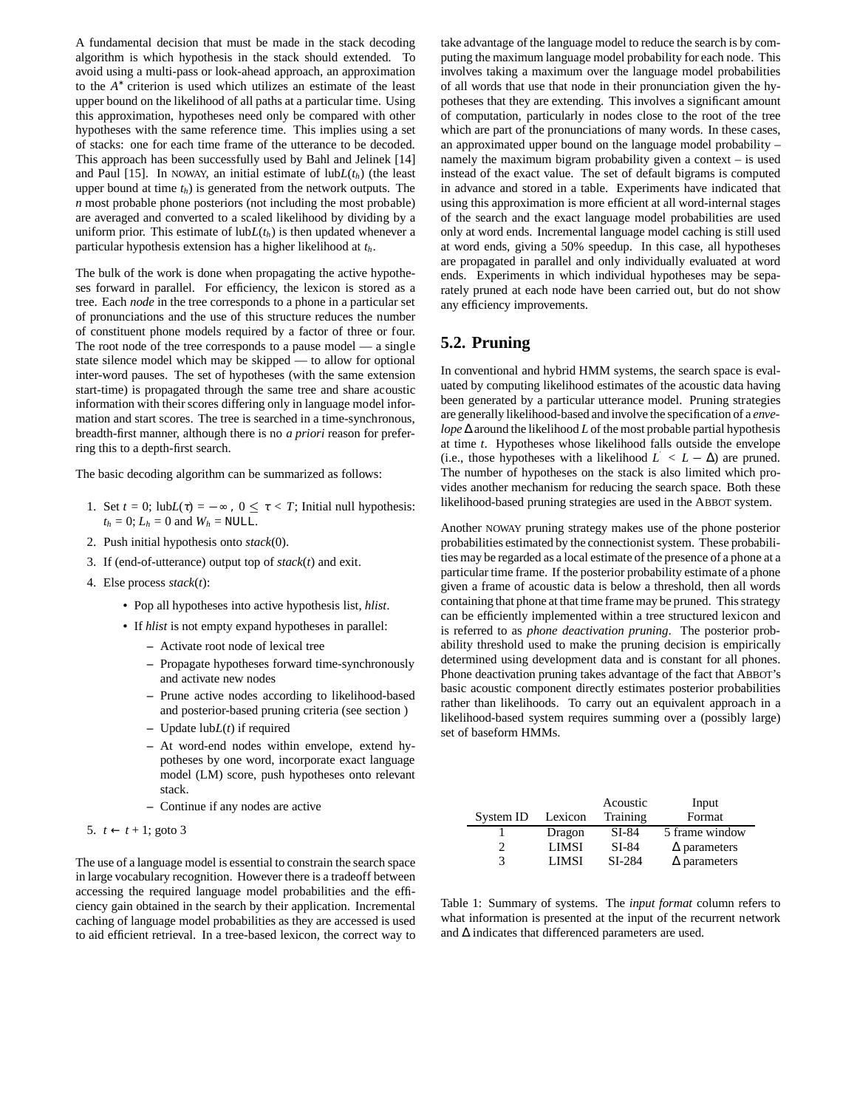A fundamental decision that must be made in the stack decoding algorithm is which hypothesis in the stack should extended. To avoid using a multi-pass or look-ahead approach, an approximation to the *A* ∗ criterion is used which utilizes an estimate of the least upper bound on the likelihood of all paths at a particular time. Using this approximation, hypotheses need only be compared with other hypotheses with the same reference time. This implies using a set of stacks: one for each time frame of the utterance to be decoded. This approach has been successfully used by Bahl and Jelinek [14] and Paul [15]. In NOWAY, an initial estimate of  $\text{lub}L(t_h)$  (the least upper bound at time *th*) is generated from the network outputs. The *n* most probable phone posteriors (not including the most probable) are averaged and converted to a scaled likelihood by dividing by a uniform prior. This estimate of  $lubL(t<sub>h</sub>)$  is then updated whenever a particular hypothesis extension has a higher likelihood at *th*.

The bulk of the work is done when propagating the active hypotheses forward in parallel. For efficiency, the lexicon is stored as a tree. Each *node* in the tree corresponds to a phone in a particular set of pronunciations and the use of this structure reduces the number of constituent phone models required by a factor of three or four. The root node of the tree corresponds to a pause model — a single state silence model which may be skipped — to allow for optional inter-word pauses. The set of hypotheses (with the same extension start-time) is propagated through the same tree and share acoustic information with their scores differing only in language model information and start scores. The tree is searched in a time-synchronous, breadth-first manner, although there is no *a priori* reason for preferring this to a depth-first search.

The basic decoding algorithm can be summarized as follows:

- 1. Set  $t = 0$ ; lub $L(\tau) = -\infty$ ,  $0 \leq \tau < T$ ; Initial null hypothesis:  $t_h = 0$ ;  $L_h = 0$  and  $W_h = \text{NULL}$ .
- 2. Push initial hypothesis onto *stack*(0).
- 3. If (end-of-utterance) output top of *stack*(*t*) and exit.
- 4. Else process *stack*(*t*):
	- Pop all hypotheses into active hypothesis list, *hlist*.
	- If *hlist* is not empty expand hypotheses in parallel:
		- **–** Activate root node of lexical tree
		- **–** Propagate hypotheses forward time-synchronously and activate new nodes
		- **–** Prune active nodes according to likelihood-based and posterior-based pruning criteria (see section )
		- **–** Update lub*L*(*t*) if required
		- **–** At word-end nodes within envelope, extend hypotheses by one word, incorporate exact language model (LM) score, push hypotheses onto relevant stack.
		- **–** Continue if any nodes are active

```
5. t ← t + 1; goto 3
```
The use of a language model is essential to constrain the search space in large vocabulary recognition. However there is a tradeoff between accessing the required language model probabilities and the efficiency gain obtained in the search by their application. Incremental caching of language model probabilities as they are accessed is used to aid efficient retrieval. In a tree-based lexicon, the correct way to

take advantage of the language model to reduce the search is by computing the maximum language model probability for each node. This involves taking a maximum over the language model probabilities of all words that use that node in their pronunciation given the hypotheses that they are extending. This involves a significant amount of computation, particularly in nodes close to the root of the tree which are part of the pronunciations of many words. In these cases, an approximated upper bound on the language model probability – namely the maximum bigram probability given a context – is used instead of the exact value. The set of default bigrams is computed in advance and stored in a table. Experiments have indicated that using this approximation is more efficient at all word-internal stages of the search and the exact language model probabilities are used only at word ends. Incremental language model caching is still used at word ends, giving a 50% speedup. In this case, all hypotheses are propagated in parallel and only individually evaluated at word ends. Experiments in which individual hypotheses may be separately pruned at each node have been carried out, but do not show any efficiency improvements.

## **5.2. Pruning**

In conventional and hybrid HMM systems, the search space is evaluated by computing likelihood estimates of the acoustic data having been generated by a particular utterance model. Pruning strategies are generally likelihood-based and involve the specification of a *envelope* ∆ around the likelihood *L* of the most probable partial hypothesis at time *t*. Hypotheses whose likelihood falls outside the envelope (i.e., those hypotheses with a likelihood  $L' < L - \Delta$ ) are pruned. The number of hypotheses on the stack is also limited which provides another mechanism for reducing the search space. Both these likelihood-based pruning strategies are used in the ABBOT system.

Another NOWAY pruning strategy makes use of the phone posterior probabilities estimated by the connectionist system. These probabilities may be regarded as a local estimate of the presence of a phone at a particular time frame. If the posterior probability estimate of a phone given a frame of acoustic data is below a threshold, then all words containing that phone at that time frame may be pruned. This strategy can be efficiently implemented within a tree structured lexicon and is referred to as *phone deactivation pruning*. The posterior probability threshold used to make the pruning decision is empirically determined using development data and is constant for all phones. Phone deactivation pruning takes advantage of the fact that ABBOT's basic acoustic component directly estimates posterior probabilities rather than likelihoods. To carry out an equivalent approach in a likelihood-based system requires summing over a (possibly large) set of baseform HMMs.

|           |              | Acoustic | Input               |
|-----------|--------------|----------|---------------------|
| System ID | Lexicon      | Training | Format              |
|           | Dragon       | SI-84    | 5 frame window      |
| 2         | <b>LIMSI</b> | SI-84    | $\Delta$ parameters |
| 3         | <b>LIMSI</b> | SI-284   | $\Delta$ parameters |

Table 1: Summary of systems. The *input format* column refers to what information is presented at the input of the recurrent network and ∆ indicates that differenced parameters are used.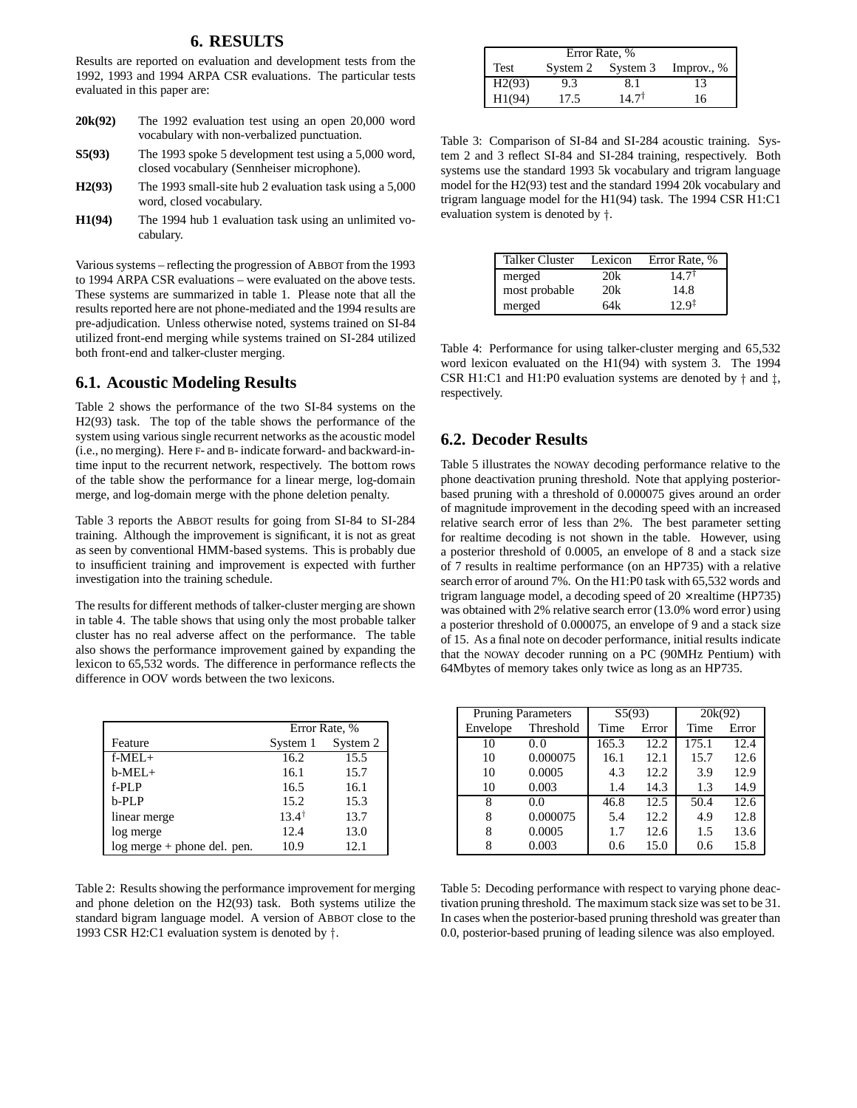#### **6. RESULTS**

Results are reported on evaluation and development tests from the 1992, 1993 and 1994 ARPA CSR evaluations. The particular tests evaluated in this paper are:

- **20k(92)** The 1992 evaluation test using an open 20,000 word vocabulary with non-verbalized punctuation.
- **S5(93)** The 1993 spoke 5 development test using a 5,000 word, closed vocabulary (Sennheiser microphone).
- **H2(93)** The 1993 small-site hub 2 evaluation task using a 5,000 word, closed vocabulary.
- **H1(94)** The 1994 hub 1 evaluation task using an unlimited vocabulary.

Various systems – reflecting the progression of ABBOT from the 1993 to 1994 ARPA CSR evaluations – were evaluated on the above tests. These systems are summarized in table 1. Please note that all the results reported here are not phone-mediated and the 1994 results are pre-adjudication. Unless otherwise noted, systems trained on SI-84 utilized front-end merging while systems trained on SI-284 utilized both front-end and talker-cluster merging.

## **6.1. Acoustic Modeling Results**

Table 2 shows the performance of the two SI-84 systems on the H2(93) task. The top of the table shows the performance of the system using various single recurrent networks as the acoustic model (i.e., no merging). Here F- and B- indicate forward- and backward-intime input to the recurrent network, respectively. The bottom rows of the table show the performance for a linear merge, log-domain merge, and log-domain merge with the phone deletion penalty.

Table 3 reports the ABBOT results for going from SI-84 to SI-284 training. Although the improvement is significant, it is not as great as seen by conventional HMM-based systems. This is probably due to insufficient training and improvement is expected with further investigation into the training schedule.

The results for different methods of talker-cluster merging are shown in table 4. The table shows that using only the most probable talker cluster has no real adverse affect on the performance. The table also shows the performance improvement gained by expanding the lexicon to 65,532 words. The difference in performance reflects the difference in OOV words between the two lexicons.

|                               | Error Rate, %    |          |  |
|-------------------------------|------------------|----------|--|
| Feature                       | System 1         | System 2 |  |
| $f-MEL+$                      | 16.2             | 15.5     |  |
| $b$ -MEL+                     | 16.1             | 15.7     |  |
| $f-PI.P$                      | 16.5             | 16.1     |  |
| b-PLP                         | 15.2             | 15.3     |  |
| linear merge                  | $13.4^{\dagger}$ | 13.7     |  |
| log merge                     | 12.4             | 13.0     |  |
| $log$ merge + phone del. pen. | 10.9             | 12.1     |  |

Table 2: Results showing the performance improvement for merging and phone deletion on the H2(93) task. Both systems utilize the standard bigram language model. A version of ABBOT close to the 1993 CSR H2:C1 evaluation system is denoted by  $\dagger$ .

| Error Rate, % |          |                  |            |  |
|---------------|----------|------------------|------------|--|
| Test          | System 2 | System 3         | Improv., % |  |
| H2(93)        | 9.3      | 8.1              | 13         |  |
| H1(94)        | 17.5     | $14.7^{\dagger}$ | 16         |  |

Table 3: Comparison of SI-84 and SI-284 acoustic training. System 2 and 3 reflect SI-84 and SI-284 training, respectively. Both systems use the standard 1993 5k vocabulary and trigram language model for the H2(93) test and the standard 1994 20k vocabulary and trigram language model for the H1(94) task. The 1994 CSR H1:C1 evaluation system is denoted by  $\dagger$ .

| <b>Talker Cluster</b> | Lexicon | Error Rate, %     |
|-----------------------|---------|-------------------|
| merged                | 20k     | 14.7              |
| most probable         | 20k     | 14.8              |
| merged                | 64k     | $12.9^{\ddagger}$ |

Table 4: Performance for using talker-cluster merging and 65,532 word lexicon evaluated on the H1(94) with system 3. The 1994 CSR H1:C1 and H1:P0 evaluation systems are denoted by  $\dagger$  and  $\dagger$ , respectively.

## **6.2. Decoder Results**

Table 5 illustrates the NOWAY decoding performance relative to the phone deactivation pruning threshold. Note that applying posteriorbased pruning with a threshold of 0.000075 gives around an order of magnitude improvement in the decoding speed with an increased relative search error of less than 2%. The best parameter setting for realtime decoding is not shown in the table. However, using a posterior threshold of 0.0005, an envelope of 8 and a stack size of 7 results in realtime performance (on an HP735) with a relative search error of around 7%. On the H1:P0 task with 65,532 words and trigram language model, a decoding speed of  $20 \times$  realtime (HP735) was obtained with 2% relative search error (13.0% word error) using a posterior threshold of 0.000075, an envelope of 9 and a stack size of 15. As a final note on decoder performance, initial results indicate that the NOWAY decoder running on a PC (90MHz Pentium) with 64Mbytes of memory takes only twice as long as an HP735.

| <b>Pruning Parameters</b> |           | S5(93) |       | 20k(92) |       |
|---------------------------|-----------|--------|-------|---------|-------|
| Envelope                  | Threshold | Time   | Error | Time    | Error |
| 10                        | 0.0       | 165.3  | 12.2  | 175.1   | 12.4  |
| 10                        | 0.000075  | 16.1   | 12.1  | 15.7    | 12.6  |
| 10                        | 0.0005    | 4.3    | 12.2  | 3.9     | 12.9  |
| 10                        | 0.003     | 1.4    | 14.3  | 1.3     | 14.9  |
| 8                         | 0.0       | 46.8   | 12.5  | 50.4    | 12.6  |
| 8                         | 0.000075  | 5.4    | 12.2  | 4.9     | 12.8  |
| 8                         | 0.0005    | 1.7    | 12.6  | 1.5     | 13.6  |
|                           | 0.003     | 0.6    | 15.0  | 0.6     | 15.8  |

Table 5: Decoding performance with respect to varying phone deactivation pruning threshold. The maximum stack size was set to be 31. In cases when the posterior-based pruning threshold was greater than 0.0, posterior-based pruning of leading silence was also employed.